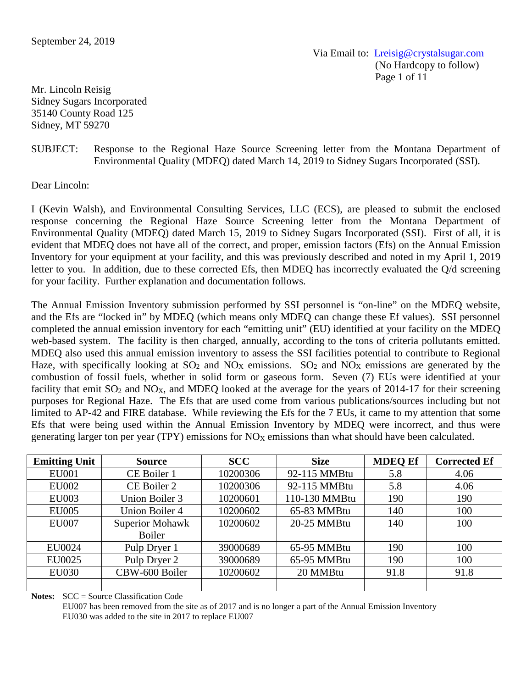Via Email to: [Lreisig@crystalsugar.com](mailto:Lreisig@crystalsugar.com) (No Hardcopy to follow) Page 1 of 11

Mr. Lincoln Reisig Sidney Sugars Incorporated 35140 County Road 125 Sidney, MT 59270

# SUBJECT: Response to the Regional Haze Source Screening letter from the Montana Department of Environmental Quality (MDEQ) dated March 14, 2019 to Sidney Sugars Incorporated (SSI).

Dear Lincoln:

I (Kevin Walsh), and Environmental Consulting Services, LLC (ECS), are pleased to submit the enclosed response concerning the Regional Haze Source Screening letter from the Montana Department of Environmental Quality (MDEQ) dated March 15, 2019 to Sidney Sugars Incorporated (SSI). First of all, it is evident that MDEQ does not have all of the correct, and proper, emission factors (Efs) on the Annual Emission Inventory for your equipment at your facility, and this was previously described and noted in my April 1, 2019 letter to you. In addition, due to these corrected Efs, then MDEQ has incorrectly evaluated the Q/d screening for your facility. Further explanation and documentation follows.

The Annual Emission Inventory submission performed by SSI personnel is "on-line" on the MDEQ website, and the Efs are "locked in" by MDEQ (which means only MDEQ can change these Ef values). SSI personnel completed the annual emission inventory for each "emitting unit" (EU) identified at your facility on the MDEQ web-based system. The facility is then charged, annually, according to the tons of criteria pollutants emitted. MDEQ also used this annual emission inventory to assess the SSI facilities potential to contribute to Regional Haze, with specifically looking at  $SO_2$  and  $NO<sub>X</sub>$  emissions.  $SO_2$  and  $NO<sub>X</sub>$  emissions are generated by the combustion of fossil fuels, whether in solid form or gaseous form. Seven (7) EUs were identified at your facility that emit  $SO_2$  and  $NO_X$ , and MDEQ looked at the average for the years of 2014-17 for their screening purposes for Regional Haze. The Efs that are used come from various publications/sources including but not limited to AP-42 and FIRE database. While reviewing the Efs for the 7 EUs, it came to my attention that some Efs that were being used within the Annual Emission Inventory by MDEQ were incorrect, and thus were generating larger ton per year (TPY) emissions for  $NO<sub>X</sub>$  emissions than what should have been calculated.

| <b>Emitting Unit</b> | <b>Source</b>          | <b>SCC</b> | <b>Size</b>   | <b>MDEQ Ef</b> | <b>Corrected Ef</b> |
|----------------------|------------------------|------------|---------------|----------------|---------------------|
| <b>EU001</b>         | CE Boiler 1            | 10200306   | 92-115 MMBtu  | 5.8            | 4.06                |
| <b>EU002</b>         | CE Boiler 2            | 10200306   | 92-115 MMBtu  | 5.8            | 4.06                |
| <b>EU003</b>         | Union Boiler 3         | 10200601   | 110-130 MMBtu | 190            | 190                 |
| <b>EU005</b>         | <b>Union Boiler 4</b>  | 10200602   | 65-83 MMBtu   | 140            | 100                 |
| <b>EU007</b>         | <b>Superior Mohawk</b> | 10200602   | 20-25 MMBtu   | 140            | 100                 |
|                      | <b>Boiler</b>          |            |               |                |                     |
| EU0024               | Pulp Dryer 1           | 39000689   | 65-95 MMBtu   | 190            | 100                 |
| EU0025               | Pulp Dryer 2           | 39000689   | 65-95 MMBtu   | 190            | 100                 |
| <b>EU030</b>         | CBW-600 Boiler         | 10200602   | 20 MMBtu      | 91.8           | 91.8                |
|                      |                        |            |               |                |                     |

**Notes:** SCC = Source Classification Code

EU007 has been removed from the site as of 2017 and is no longer a part of the Annual Emission Inventory EU030 was added to the site in 2017 to replace EU007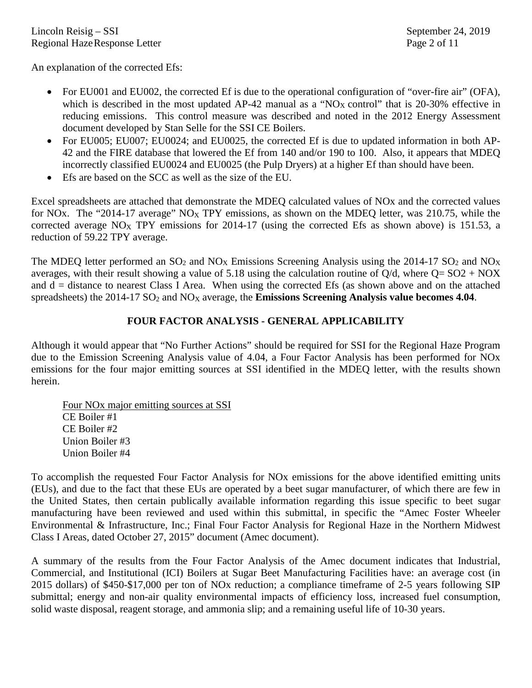An explanation of the corrected Efs:

- For EU001 and EU002, the corrected Ef is due to the operational configuration of "over-fire air" (OFA), which is described in the most updated AP-42 manual as a "NO<sub>X</sub> control" that is 20-30% effective in reducing emissions. This control measure was described and noted in the 2012 Energy Assessment document developed by Stan Selle for the SSI CE Boilers.
- For EU005; EU007; EU0024; and EU0025, the corrected Ef is due to updated information in both AP-42 and the FIRE database that lowered the Ef from 140 and/or 190 to 100. Also, it appears that MDEQ incorrectly classified EU0024 and EU0025 (the Pulp Dryers) at a higher Ef than should have been.
- Efs are based on the SCC as well as the size of the EU.

Excel spreadsheets are attached that demonstrate the MDEQ calculated values of NOx and the corrected values for NOx. The "2014-17 average"  $N_{\text{Ox}}$  TPY emissions, as shown on the MDEQ letter, was 210.75, while the corrected average NO<sub>X</sub> TPY emissions for 2014-17 (using the corrected Efs as shown above) is 151.53, a reduction of 59.22 TPY average.

The MDEQ letter performed an  $SO_2$  and  $NO_X$  Emissions Screening Analysis using the 2014-17  $SO_2$  and  $NO_X$ averages, with their result showing a value of 5.18 using the calculation routine of  $Q/d$ , where  $Q = SO2 + NOX$ and d = distance to nearest Class I Area. When using the corrected Efs (as shown above and on the attached spreadsheets) the 2014-17 SO<sub>2</sub> and NO<sub>X</sub> average, the **Emissions Screening Analysis value becomes 4.04**.

# **FOUR FACTOR ANALYSIS - GENERAL APPLICABILITY**

Although it would appear that "No Further Actions" should be required for SSI for the Regional Haze Program due to the Emission Screening Analysis value of 4.04, a Four Factor Analysis has been performed for NOx emissions for the four major emitting sources at SSI identified in the MDEQ letter, with the results shown herein.

Four NOx major emitting sources at SSI CE Boiler #1 CE Boiler #2 Union Boiler #3 Union Boiler #4

To accomplish the requested Four Factor Analysis for NOx emissions for the above identified emitting units (EUs), and due to the fact that these EUs are operated by a beet sugar manufacturer, of which there are few in the United States, then certain publically available information regarding this issue specific to beet sugar manufacturing have been reviewed and used within this submittal, in specific the "Amec Foster Wheeler Environmental & Infrastructure, Inc.; Final Four Factor Analysis for Regional Haze in the Northern Midwest Class I Areas, dated October 27, 2015" document (Amec document).

A summary of the results from the Four Factor Analysis of the Amec document indicates that Industrial, Commercial, and Institutional (ICI) Boilers at Sugar Beet Manufacturing Facilities have: an average cost (in 2015 dollars) of \$450-\$17,000 per ton of NOx reduction; a compliance timeframe of 2-5 years following SIP submittal; energy and non-air quality environmental impacts of efficiency loss, increased fuel consumption, solid waste disposal, reagent storage, and ammonia slip; and a remaining useful life of 10-30 years.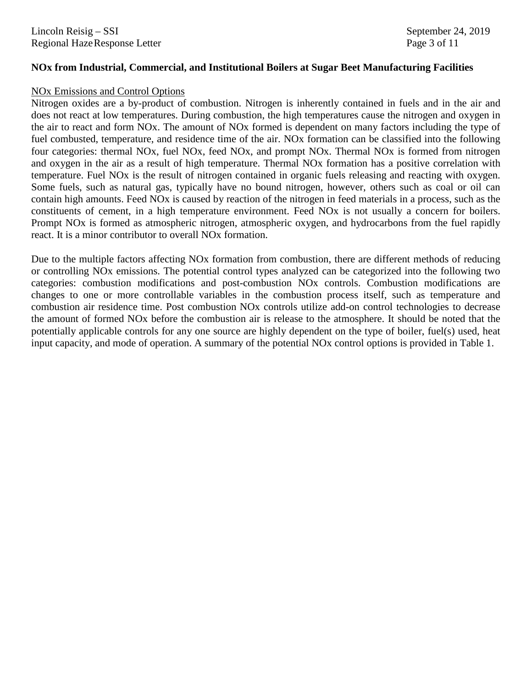### **NOx from Industrial, Commercial, and Institutional Boilers at Sugar Beet Manufacturing Facilities**

#### NOx Emissions and Control Options

Nitrogen oxides are a by-product of combustion. Nitrogen is inherently contained in fuels and in the air and does not react at low temperatures. During combustion, the high temperatures cause the nitrogen and oxygen in the air to react and form NOx. The amount of NOx formed is dependent on many factors including the type of fuel combusted, temperature, and residence time of the air. NOx formation can be classified into the following four categories: thermal NOx, fuel NOx, feed NOx, and prompt NOx. Thermal NOx is formed from nitrogen and oxygen in the air as a result of high temperature. Thermal NOx formation has a positive correlation with temperature. Fuel NOx is the result of nitrogen contained in organic fuels releasing and reacting with oxygen. Some fuels, such as natural gas, typically have no bound nitrogen, however, others such as coal or oil can contain high amounts. Feed NOx is caused by reaction of the nitrogen in feed materials in a process, such as the constituents of cement, in a high temperature environment. Feed NOx is not usually a concern for boilers. Prompt NOx is formed as atmospheric nitrogen, atmospheric oxygen, and hydrocarbons from the fuel rapidly react. It is a minor contributor to overall NOx formation.

Due to the multiple factors affecting NOx formation from combustion, there are different methods of reducing or controlling NOx emissions. The potential control types analyzed can be categorized into the following two categories: combustion modifications and post-combustion NOx controls. Combustion modifications are changes to one or more controllable variables in the combustion process itself, such as temperature and combustion air residence time. Post combustion NOx controls utilize add-on control technologies to decrease the amount of formed NOx before the combustion air is release to the atmosphere. It should be noted that the potentially applicable controls for any one source are highly dependent on the type of boiler, fuel(s) used, heat input capacity, and mode of operation. A summary of the potential NOx control options is provided in Table 1.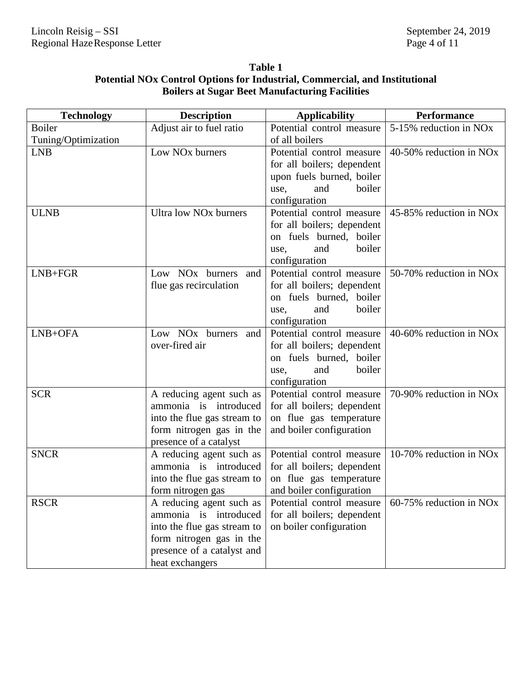# **Table 1 Potential NOx Control Options for Industrial, Commercial, and Institutional Boilers at Sugar Beet Manufacturing Facilities**

| <b>Technology</b>   | <b>Description</b>                 | <b>Applicability</b>              | <b>Performance</b>                  |
|---------------------|------------------------------------|-----------------------------------|-------------------------------------|
| <b>Boiler</b>       | Adjust air to fuel ratio           | Potential control measure         | 5-15% reduction in NO <sub>x</sub>  |
| Tuning/Optimization |                                    | of all boilers                    |                                     |
| <b>LNB</b>          | Low NO <sub>x</sub> burners        | Potential control measure         | 40-50% reduction in NO <sub>x</sub> |
|                     |                                    | for all boilers; dependent        |                                     |
|                     |                                    | upon fuels burned, boiler         |                                     |
|                     |                                    | boiler<br>use,<br>and             |                                     |
|                     |                                    | configuration                     |                                     |
| <b>ULNB</b>         | Ultra low NO <sub>x</sub> burners  | Potential control measure         | 45-85% reduction in NO <sub>x</sub> |
|                     |                                    | for all boilers; dependent        |                                     |
|                     |                                    | on fuels burned, boiler           |                                     |
|                     |                                    | and<br>boiler<br>use,             |                                     |
|                     |                                    | configuration                     |                                     |
| $LNB + FGR$         | Low NO <sub>x</sub> burners and    | Potential control measure         | 50-70% reduction in NO <sub>x</sub> |
|                     | flue gas recirculation             | for all boilers; dependent        |                                     |
|                     |                                    | on fuels burned,<br>boiler        |                                     |
|                     |                                    | boiler<br>and<br>use,             |                                     |
|                     |                                    | configuration                     |                                     |
| LNB+OFA             | Low NO <sub>x</sub> burners<br>and | Potential control measure         | 40-60% reduction in NO <sub>x</sub> |
|                     | over-fired air                     | for all boilers; dependent        |                                     |
|                     |                                    | on fuels burned, boiler<br>boiler |                                     |
|                     |                                    | and<br>use,<br>configuration      |                                     |
| <b>SCR</b>          | A reducing agent such as           | Potential control measure         | 70-90% reduction in NOx             |
|                     | ammonia is introduced              | for all boilers; dependent        |                                     |
|                     | into the flue gas stream to        | on flue gas temperature           |                                     |
|                     | form nitrogen gas in the           | and boiler configuration          |                                     |
|                     | presence of a catalyst             |                                   |                                     |
| <b>SNCR</b>         | A reducing agent such as           | Potential control measure         | 10-70% reduction in NO <sub>x</sub> |
|                     | ammonia is introduced              | for all boilers; dependent        |                                     |
|                     | into the flue gas stream to        | on flue gas temperature           |                                     |
|                     | form nitrogen gas                  | and boiler configuration          |                                     |
| <b>RSCR</b>         | A reducing agent such as           | Potential control measure         | 60-75% reduction in NO <sub>x</sub> |
|                     | ammonia is introduced              | for all boilers; dependent        |                                     |
|                     | into the flue gas stream to        | on boiler configuration           |                                     |
|                     | form nitrogen gas in the           |                                   |                                     |
|                     | presence of a catalyst and         |                                   |                                     |
|                     | heat exchangers                    |                                   |                                     |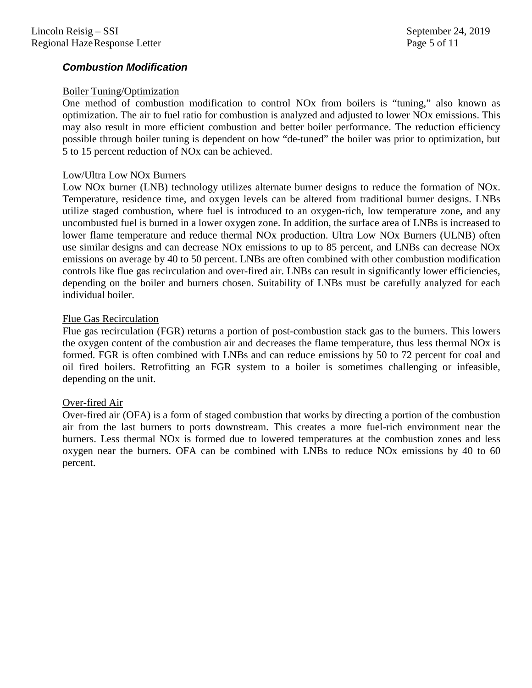# *Combustion Modification*

## Boiler Tuning/Optimization

One method of combustion modification to control NOx from boilers is "tuning," also known as optimization. The air to fuel ratio for combustion is analyzed and adjusted to lower NOx emissions. This may also result in more efficient combustion and better boiler performance. The reduction efficiency possible through boiler tuning is dependent on how "de-tuned" the boiler was prior to optimization, but 5 to 15 percent reduction of NOx can be achieved.

### Low/Ultra Low NOx Burners

Low NOx burner (LNB) technology utilizes alternate burner designs to reduce the formation of NOx. Temperature, residence time, and oxygen levels can be altered from traditional burner designs. LNBs utilize staged combustion, where fuel is introduced to an oxygen-rich, low temperature zone, and any uncombusted fuel is burned in a lower oxygen zone. In addition, the surface area of LNBs is increased to lower flame temperature and reduce thermal NOx production. Ultra Low NOx Burners (ULNB) often use similar designs and can decrease NOx emissions to up to 85 percent, and LNBs can decrease NOx emissions on average by 40 to 50 percent. LNBs are often combined with other combustion modification controls like flue gas recirculation and over-fired air. LNBs can result in significantly lower efficiencies, depending on the boiler and burners chosen. Suitability of LNBs must be carefully analyzed for each individual boiler.

### Flue Gas Recirculation

Flue gas recirculation (FGR) returns a portion of post-combustion stack gas to the burners. This lowers the oxygen content of the combustion air and decreases the flame temperature, thus less thermal NOx is formed. FGR is often combined with LNBs and can reduce emissions by 50 to 72 percent for coal and oil fired boilers. Retrofitting an FGR system to a boiler is sometimes challenging or infeasible, depending on the unit.

## Over-fired Air

Over-fired air (OFA) is a form of staged combustion that works by directing a portion of the combustion air from the last burners to ports downstream. This creates a more fuel-rich environment near the burners. Less thermal NOx is formed due to lowered temperatures at the combustion zones and less oxygen near the burners. OFA can be combined with LNBs to reduce NOx emissions by 40 to 60 percent.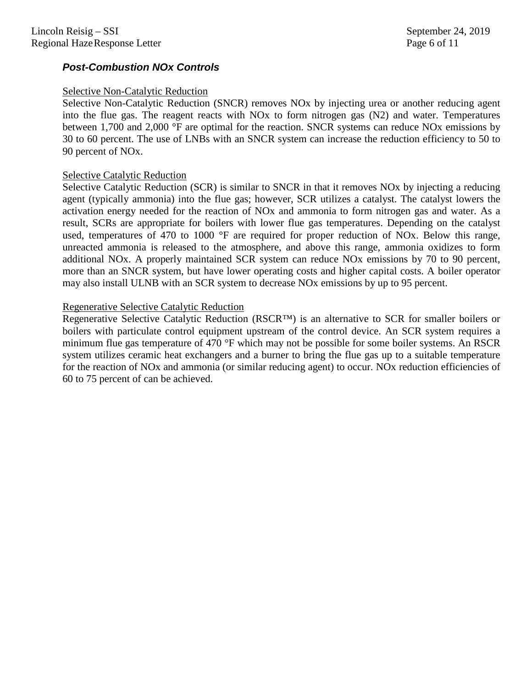# *Post-Combustion NOx Controls*

## Selective Non-Catalytic Reduction

Selective Non-Catalytic Reduction (SNCR) removes NOx by injecting urea or another reducing agent into the flue gas. The reagent reacts with NOx to form nitrogen gas (N2) and water. Temperatures between 1,700 and 2,000 °F are optimal for the reaction. SNCR systems can reduce NOx emissions by 30 to 60 percent. The use of LNBs with an SNCR system can increase the reduction efficiency to 50 to 90 percent of NOx.

### Selective Catalytic Reduction

Selective Catalytic Reduction (SCR) is similar to SNCR in that it removes NOx by injecting a reducing agent (typically ammonia) into the flue gas; however, SCR utilizes a catalyst. The catalyst lowers the activation energy needed for the reaction of NOx and ammonia to form nitrogen gas and water. As a result, SCRs are appropriate for boilers with lower flue gas temperatures. Depending on the catalyst used, temperatures of 470 to 1000 °F are required for proper reduction of NOx. Below this range, unreacted ammonia is released to the atmosphere, and above this range, ammonia oxidizes to form additional NOx. A properly maintained SCR system can reduce NOx emissions by 70 to 90 percent, more than an SNCR system, but have lower operating costs and higher capital costs. A boiler operator may also install ULNB with an SCR system to decrease NOx emissions by up to 95 percent.

### Regenerative Selective Catalytic Reduction

Regenerative Selective Catalytic Reduction (RSCR™) is an alternative to SCR for smaller boilers or boilers with particulate control equipment upstream of the control device. An SCR system requires a minimum flue gas temperature of 470 °F which may not be possible for some boiler systems. An RSCR system utilizes ceramic heat exchangers and a burner to bring the flue gas up to a suitable temperature for the reaction of NOx and ammonia (or similar reducing agent) to occur. NOx reduction efficiencies of 60 to 75 percent of can be achieved.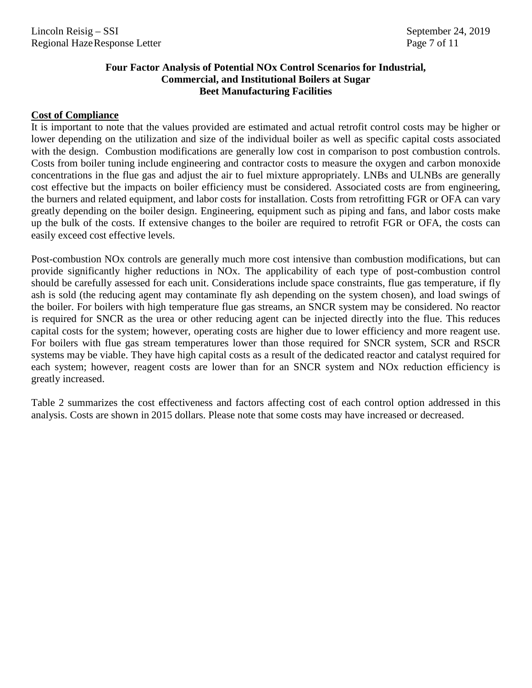# **Four Factor Analysis of Potential NOx Control Scenarios for Industrial, Commercial, and Institutional Boilers at Sugar Beet Manufacturing Facilities**

## **Cost of Compliance**

It is important to note that the values provided are estimated and actual retrofit control costs may be higher or lower depending on the utilization and size of the individual boiler as well as specific capital costs associated with the design. Combustion modifications are generally low cost in comparison to post combustion controls. Costs from boiler tuning include engineering and contractor costs to measure the oxygen and carbon monoxide concentrations in the flue gas and adjust the air to fuel mixture appropriately. LNBs and ULNBs are generally cost effective but the impacts on boiler efficiency must be considered. Associated costs are from engineering, the burners and related equipment, and labor costs for installation. Costs from retrofitting FGR or OFA can vary greatly depending on the boiler design. Engineering, equipment such as piping and fans, and labor costs make up the bulk of the costs. If extensive changes to the boiler are required to retrofit FGR or OFA, the costs can easily exceed cost effective levels.

Post-combustion NOx controls are generally much more cost intensive than combustion modifications, but can provide significantly higher reductions in NOx. The applicability of each type of post-combustion control should be carefully assessed for each unit. Considerations include space constraints, flue gas temperature, if fly ash is sold (the reducing agent may contaminate fly ash depending on the system chosen), and load swings of the boiler. For boilers with high temperature flue gas streams, an SNCR system may be considered. No reactor is required for SNCR as the urea or other reducing agent can be injected directly into the flue. This reduces capital costs for the system; however, operating costs are higher due to lower efficiency and more reagent use. For boilers with flue gas stream temperatures lower than those required for SNCR system, SCR and RSCR systems may be viable. They have high capital costs as a result of the dedicated reactor and catalyst required for each system; however, reagent costs are lower than for an SNCR system and NOx reduction efficiency is greatly increased.

Table 2 summarizes the cost effectiveness and factors affecting cost of each control option addressed in this analysis. Costs are shown in 2015 dollars. Please note that some costs may have increased or decreased.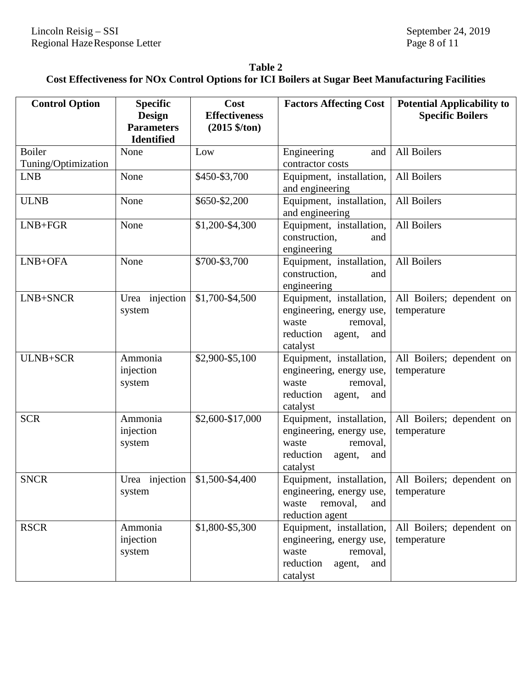| Table 2                                                                                                       |
|---------------------------------------------------------------------------------------------------------------|
| Cost Effectiveness for NO <sub>x</sub> Control Options for ICI Boilers at Sugar Beet Manufacturing Facilities |

| <b>Control Option</b>                | <b>Specific</b><br>Design<br><b>Parameters</b><br><b>Identified</b> | Cost<br><b>Effectiveness</b><br>$(2015 \frac{6}{10})$ | <b>Factors Affecting Cost</b>                                                                                       | <b>Potential Applicability to</b><br><b>Specific Boilers</b> |
|--------------------------------------|---------------------------------------------------------------------|-------------------------------------------------------|---------------------------------------------------------------------------------------------------------------------|--------------------------------------------------------------|
| <b>Boiler</b><br>Tuning/Optimization | None                                                                | Low                                                   | Engineering<br>and<br>contractor costs                                                                              | All Boilers                                                  |
| <b>LNB</b>                           | None                                                                | \$450-\$3,700                                         | Equipment, installation,<br>and engineering                                                                         | All Boilers                                                  |
| <b>ULNB</b>                          | None                                                                | \$650-\$2,200                                         | Equipment, installation,<br>and engineering                                                                         | All Boilers                                                  |
| $LNB+FGR$                            | None                                                                | \$1,200-\$4,300                                       | Equipment, installation,<br>construction,<br>and<br>engineering                                                     | All Boilers                                                  |
| LNB+OFA                              | None                                                                | \$700-\$3,700                                         | Equipment, installation,<br>construction,<br>and<br>engineering                                                     | All Boilers                                                  |
| LNB+SNCR                             | Urea injection<br>system                                            | \$1,700-\$4,500                                       | Equipment, installation,<br>engineering, energy use,<br>removal,<br>waste<br>reduction<br>agent,<br>and<br>catalyst | All Boilers; dependent on<br>temperature                     |
| ULNB+SCR                             | Ammonia<br>injection<br>system                                      | \$2,900-\$5,100                                       | Equipment, installation,<br>engineering, energy use,<br>waste<br>removal,<br>reduction<br>agent,<br>and<br>catalyst | All Boilers; dependent on<br>temperature                     |
| <b>SCR</b>                           | Ammonia<br>injection<br>system                                      | \$2,600-\$17,000                                      | Equipment, installation,<br>engineering, energy use,<br>waste<br>removal,<br>reduction<br>agent,<br>and<br>catalyst | All Boilers; dependent on<br>temperature                     |
| <b>SNCR</b>                          | Urea injection<br>system                                            | \$1,500-\$4,400                                       | Equipment, installation,<br>engineering, energy use,<br>waste<br>removal,<br>and<br>reduction agent                 | All Boilers; dependent on<br>temperature                     |
| <b>RSCR</b>                          | Ammonia<br>injection<br>system                                      | \$1,800-\$5,300                                       | Equipment, installation,<br>engineering, energy use,<br>waste<br>removal,<br>reduction agent,<br>and<br>catalyst    | All Boilers; dependent on<br>temperature                     |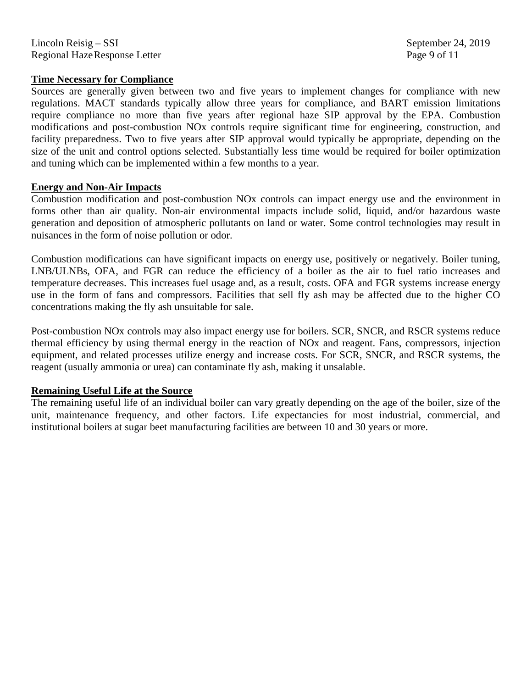Lincoln Reisig – SSI September 24, 2019 Regional HazeResponse Letter Page 9 of 11

### **Time Necessary for Compliance**

Sources are generally given between two and five years to implement changes for compliance with new regulations. MACT standards typically allow three years for compliance, and BART emission limitations require compliance no more than five years after regional haze SIP approval by the EPA. Combustion modifications and post-combustion NOx controls require significant time for engineering, construction, and facility preparedness. Two to five years after SIP approval would typically be appropriate, depending on the size of the unit and control options selected. Substantially less time would be required for boiler optimization and tuning which can be implemented within a few months to a year.

## **Energy and Non-Air Impacts**

Combustion modification and post-combustion NOx controls can impact energy use and the environment in forms other than air quality. Non-air environmental impacts include solid, liquid, and/or hazardous waste generation and deposition of atmospheric pollutants on land or water. Some control technologies may result in nuisances in the form of noise pollution or odor.

Combustion modifications can have significant impacts on energy use, positively or negatively. Boiler tuning, LNB/ULNBs, OFA, and FGR can reduce the efficiency of a boiler as the air to fuel ratio increases and temperature decreases. This increases fuel usage and, as a result, costs. OFA and FGR systems increase energy use in the form of fans and compressors. Facilities that sell fly ash may be affected due to the higher CO concentrations making the fly ash unsuitable for sale.

Post-combustion NOx controls may also impact energy use for boilers. SCR, SNCR, and RSCR systems reduce thermal efficiency by using thermal energy in the reaction of NOx and reagent. Fans, compressors, injection equipment, and related processes utilize energy and increase costs. For SCR, SNCR, and RSCR systems, the reagent (usually ammonia or urea) can contaminate fly ash, making it unsalable.

## **Remaining Useful Life at the Source**

The remaining useful life of an individual boiler can vary greatly depending on the age of the boiler, size of the unit, maintenance frequency, and other factors. Life expectancies for most industrial, commercial, and institutional boilers at sugar beet manufacturing facilities are between 10 and 30 years or more.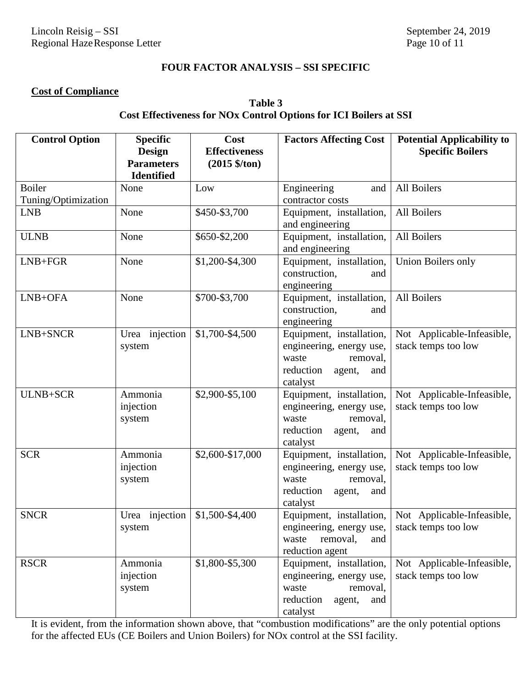### **FOUR FACTOR ANALYSIS – SSI SPECIFIC**

# **Cost of Compliance**

# **Table 3 Cost Effectiveness for NOx Control Options for ICI Boilers at SSI**

| <b>Control Option</b>                | <b>Specific</b><br><b>Design</b><br><b>Parameters</b><br><b>Identified</b> | Cost<br><b>Effectiveness</b><br>$(2015 \frac{6}{10})$ | <b>Factors Affecting Cost</b>                                                                                       | <b>Potential Applicability to</b><br><b>Specific Boilers</b> |
|--------------------------------------|----------------------------------------------------------------------------|-------------------------------------------------------|---------------------------------------------------------------------------------------------------------------------|--------------------------------------------------------------|
| <b>Boiler</b><br>Tuning/Optimization | None                                                                       | Low                                                   | Engineering<br>and<br>contractor costs                                                                              | All Boilers                                                  |
| <b>LNB</b>                           | None                                                                       | \$450-\$3,700                                         | Equipment, installation,<br>and engineering                                                                         | All Boilers                                                  |
| <b>ULNB</b>                          | None                                                                       | \$650-\$2,200                                         | Equipment, installation,<br>and engineering                                                                         | All Boilers                                                  |
| $LNB + FGR$                          | None                                                                       | \$1,200-\$4,300                                       | Equipment, installation,<br>construction,<br>and<br>engineering                                                     | Union Boilers only                                           |
| LNB+OFA                              | None                                                                       | \$700-\$3,700                                         | Equipment, installation,<br>construction,<br>and<br>engineering                                                     | All Boilers                                                  |
| LNB+SNCR                             | Urea injection<br>system                                                   | \$1,700-\$4,500                                       | Equipment, installation,<br>engineering, energy use,<br>waste<br>removal,<br>reduction<br>agent,<br>and<br>catalyst | Not Applicable-Infeasible,<br>stack temps too low            |
| ULNB+SCR                             | Ammonia<br>injection<br>system                                             | \$2,900-\$5,100                                       | Equipment, installation,<br>engineering, energy use,<br>waste<br>removal,<br>reduction<br>agent,<br>and<br>catalyst | Not Applicable-Infeasible,<br>stack temps too low            |
| <b>SCR</b>                           | Ammonia<br>injection<br>system                                             | \$2,600-\$17,000                                      | Equipment, installation,<br>engineering, energy use,<br>waste<br>removal,<br>reduction<br>agent,<br>and<br>catalyst | Not Applicable-Infeasible,<br>stack temps too low            |
| <b>SNCR</b>                          | Urea injection<br>system                                                   | \$1,500-\$4,400                                       | Equipment, installation,<br>engineering, energy use,<br>waste<br>removal,<br>and<br>reduction agent                 | Not Applicable-Infeasible,<br>stack temps too low            |
| <b>RSCR</b>                          | Ammonia<br>injection<br>system                                             | $$1,800 - $5,300$                                     | Equipment, installation,<br>engineering, energy use,<br>waste<br>removal,<br>reduction<br>agent,<br>and<br>catalyst | Not Applicable-Infeasible,<br>stack temps too low            |

It is evident, from the information shown above, that "combustion modifications" are the only potential options for the affected EUs (CE Boilers and Union Boilers) for NOx control at the SSI facility.